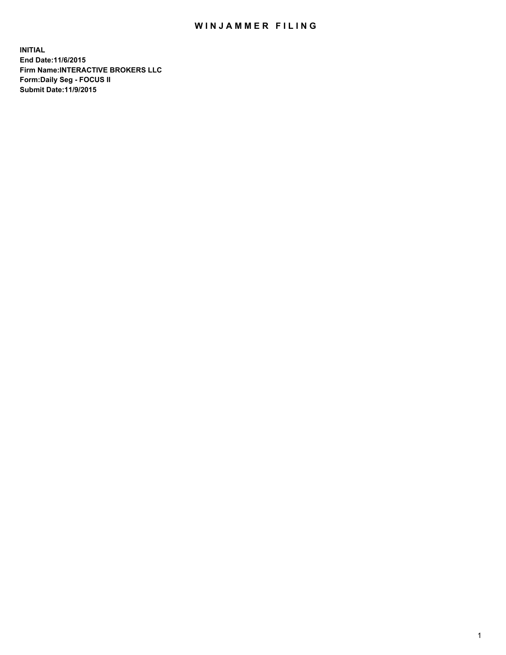## WIN JAMMER FILING

**INITIAL End Date:11/6/2015 Firm Name:INTERACTIVE BROKERS LLC Form:Daily Seg - FOCUS II Submit Date:11/9/2015**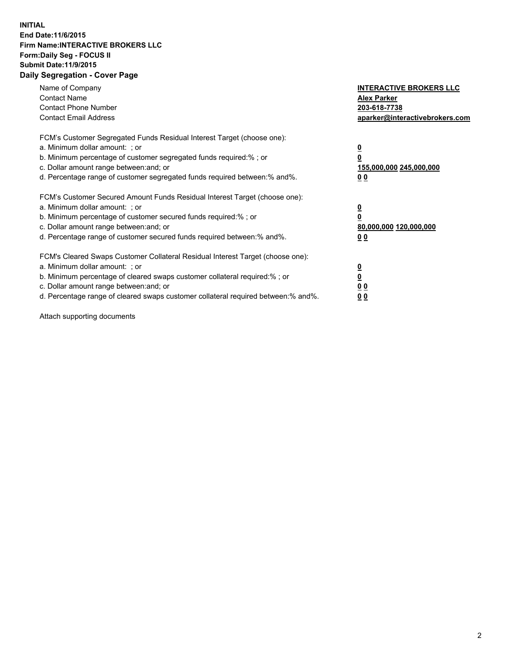## **INITIAL End Date:11/6/2015 Firm Name:INTERACTIVE BROKERS LLC Form:Daily Seg - FOCUS II Submit Date:11/9/2015 Daily Segregation - Cover Page**

| Name of Company<br><b>Contact Name</b><br><b>Contact Phone Number</b><br><b>Contact Email Address</b>                                                                                                                                                                                                                          | <b>INTERACTIVE BROKERS LLC</b><br><b>Alex Parker</b><br>203-618-7738<br>aparker@interactivebrokers.com |
|--------------------------------------------------------------------------------------------------------------------------------------------------------------------------------------------------------------------------------------------------------------------------------------------------------------------------------|--------------------------------------------------------------------------------------------------------|
| FCM's Customer Segregated Funds Residual Interest Target (choose one):<br>a. Minimum dollar amount: ; or<br>b. Minimum percentage of customer segregated funds required:%; or<br>c. Dollar amount range between: and; or<br>d. Percentage range of customer segregated funds required between:% and%.                          | <u>0</u><br>155,000,000 245,000,000<br><u>00</u>                                                       |
| FCM's Customer Secured Amount Funds Residual Interest Target (choose one):<br>a. Minimum dollar amount: ; or<br>b. Minimum percentage of customer secured funds required:%; or<br>c. Dollar amount range between: and; or<br>d. Percentage range of customer secured funds required between:% and%.                            | <u>0</u><br>80,000,000 120,000,000<br><u>00</u>                                                        |
| FCM's Cleared Swaps Customer Collateral Residual Interest Target (choose one):<br>a. Minimum dollar amount: ; or<br>b. Minimum percentage of cleared swaps customer collateral required:% ; or<br>c. Dollar amount range between: and; or<br>d. Percentage range of cleared swaps customer collateral required between:% and%. | <u>0</u><br>0 <sub>0</sub><br>0 <sub>0</sub>                                                           |

Attach supporting documents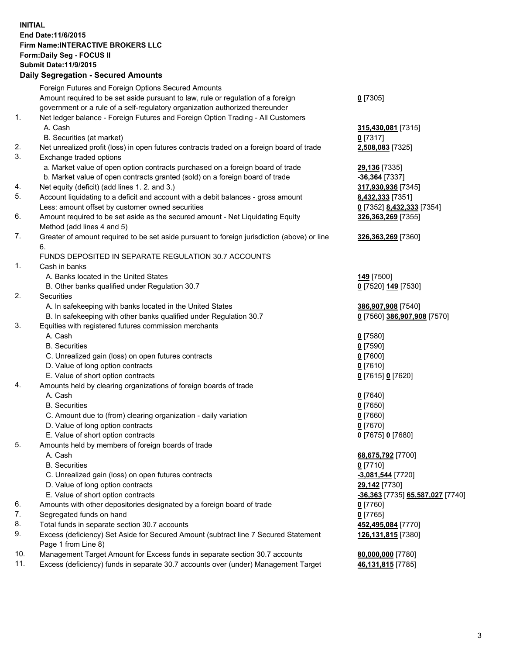## **INITIAL End Date:11/6/2015 Firm Name:INTERACTIVE BROKERS LLC Form:Daily Seg - FOCUS II Submit Date:11/9/2015 Daily Segregation - Secured Amounts**

|          | Foreign Futures and Foreign Options Secured Amounts                                         |                                  |
|----------|---------------------------------------------------------------------------------------------|----------------------------------|
|          | Amount required to be set aside pursuant to law, rule or regulation of a foreign            | $0$ [7305]                       |
|          | government or a rule of a self-regulatory organization authorized thereunder                |                                  |
| 1.       | Net ledger balance - Foreign Futures and Foreign Option Trading - All Customers             |                                  |
|          | A. Cash                                                                                     | 315,430,081 [7315]               |
|          | B. Securities (at market)                                                                   | $0$ [7317]                       |
|          |                                                                                             |                                  |
| 2.<br>3. | Net unrealized profit (loss) in open futures contracts traded on a foreign board of trade   | 2,508,083 [7325]                 |
|          | Exchange traded options                                                                     |                                  |
|          | a. Market value of open option contracts purchased on a foreign board of trade              | 29,136 [7335]                    |
|          | b. Market value of open contracts granted (sold) on a foreign board of trade                | -36,364 [7337]                   |
| 4.       | Net equity (deficit) (add lines 1.2. and 3.)                                                | 317,930,936 [7345]               |
| 5.       | Account liquidating to a deficit and account with a debit balances - gross amount           | 8,432,333 [7351]                 |
|          | Less: amount offset by customer owned securities                                            | 0 [7352] 8,432,333 [7354]        |
| 6.       | Amount required to be set aside as the secured amount - Net Liquidating Equity              | 326,363,269 [7355]               |
|          | Method (add lines 4 and 5)                                                                  |                                  |
| 7.       | Greater of amount required to be set aside pursuant to foreign jurisdiction (above) or line | 326, 363, 269 [7360]             |
|          | 6.                                                                                          |                                  |
|          | FUNDS DEPOSITED IN SEPARATE REGULATION 30.7 ACCOUNTS                                        |                                  |
| 1.       | Cash in banks                                                                               |                                  |
|          | A. Banks located in the United States                                                       | 149 <sub>[7500]</sub>            |
|          | B. Other banks qualified under Regulation 30.7                                              | 0 [7520] 149 [7530]              |
| 2.       | Securities                                                                                  |                                  |
|          | A. In safekeeping with banks located in the United States                                   | 386,907,908 [7540]               |
|          | B. In safekeeping with other banks qualified under Regulation 30.7                          | 0 [7560] 386,907,908 [7570]      |
| 3.       | Equities with registered futures commission merchants                                       |                                  |
|          | A. Cash                                                                                     |                                  |
|          |                                                                                             | $0$ [7580]                       |
|          | <b>B.</b> Securities                                                                        | $0$ [7590]                       |
|          | C. Unrealized gain (loss) on open futures contracts                                         | $0$ [7600]                       |
|          | D. Value of long option contracts                                                           | $0$ [7610]                       |
|          | E. Value of short option contracts                                                          | 0 [7615] 0 [7620]                |
| 4.       | Amounts held by clearing organizations of foreign boards of trade                           |                                  |
|          | A. Cash                                                                                     | $0$ [7640]                       |
|          | <b>B.</b> Securities                                                                        | $0$ [7650]                       |
|          | C. Amount due to (from) clearing organization - daily variation                             | $0$ [7660]                       |
|          | D. Value of long option contracts                                                           | $0$ [7670]                       |
|          | E. Value of short option contracts                                                          | 0 [7675] 0 [7680]                |
| 5.       | Amounts held by members of foreign boards of trade                                          |                                  |
|          | A. Cash                                                                                     | 68,675,792 [7700]                |
|          | <b>B.</b> Securities                                                                        | $0$ [7710]                       |
|          | C. Unrealized gain (loss) on open futures contracts                                         | -3,081,544 [7720]                |
|          | D. Value of long option contracts                                                           | 29,142 [7730]                    |
|          | E. Value of short option contracts                                                          | -36,363 [7735] 65,587,027 [7740] |
| 6.       | Amounts with other depositories designated by a foreign board of trade                      | $0$ [7760]                       |
| 7.       | Segregated funds on hand                                                                    | $0$ [7765]                       |
| 8.       | Total funds in separate section 30.7 accounts                                               | 452,495,084 [7770]               |
| 9.       | Excess (deficiency) Set Aside for Secured Amount (subtract line 7 Secured Statement         | 126,131,815 [7380]               |
|          | Page 1 from Line 8)                                                                         |                                  |
| 10.      | Management Target Amount for Excess funds in separate section 30.7 accounts                 |                                  |
| 11.      | Excess (deficiency) funds in separate 30.7 accounts over (under) Management Target          | 80,000,000 [7780]                |
|          |                                                                                             | 46,131,815 [7785]                |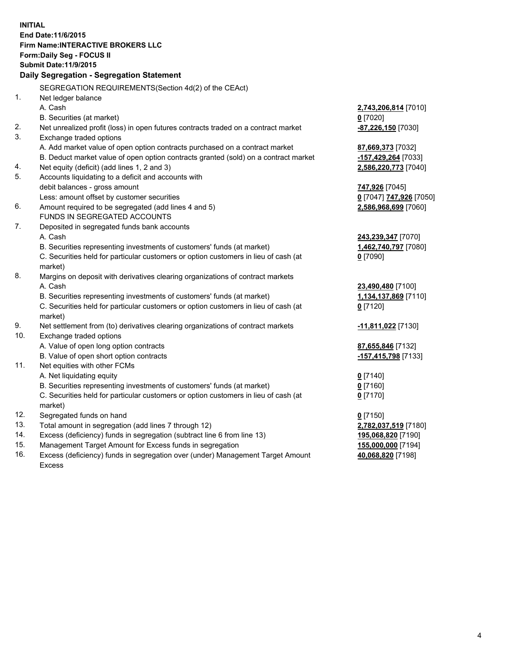**INITIAL End Date:11/6/2015 Firm Name:INTERACTIVE BROKERS LLC Form:Daily Seg - FOCUS II Submit Date:11/9/2015 Daily Segregation - Segregation Statement** SEGREGATION REQUIREMENTS(Section 4d(2) of the CEAct) 1. Net ledger balance A. Cash **2,743,206,814** [7010] B. Securities (at market) **0** [7020] 2. Net unrealized profit (loss) in open futures contracts traded on a contract market **-87,226,150** [7030] 3. Exchange traded options A. Add market value of open option contracts purchased on a contract market **87,669,373** [7032] B. Deduct market value of open option contracts granted (sold) on a contract market **-157,429,264** [7033] 4. Net equity (deficit) (add lines 1, 2 and 3) **2,586,220,773** [7040] 5. Accounts liquidating to a deficit and accounts with debit balances - gross amount **747,926** [7045] Less: amount offset by customer securities **0** [7047] **747,926** [7050] 6. Amount required to be segregated (add lines 4 and 5) **2,586,968,699** [7060] FUNDS IN SEGREGATED ACCOUNTS 7. Deposited in segregated funds bank accounts A. Cash **243,239,347** [7070] B. Securities representing investments of customers' funds (at market) **1,462,740,797** [7080] C. Securities held for particular customers or option customers in lieu of cash (at market) **0** [7090] 8. Margins on deposit with derivatives clearing organizations of contract markets A. Cash **23,490,480** [7100] B. Securities representing investments of customers' funds (at market) **1,134,137,869** [7110] C. Securities held for particular customers or option customers in lieu of cash (at market) **0** [7120] 9. Net settlement from (to) derivatives clearing organizations of contract markets **-11,811,022** [7130] 10. Exchange traded options A. Value of open long option contracts **87,655,846** [7132] B. Value of open short option contracts **-157,415,798** [7133] 11. Net equities with other FCMs A. Net liquidating equity **0** [7140] B. Securities representing investments of customers' funds (at market) **0** [7160] C. Securities held for particular customers or option customers in lieu of cash (at market) **0** [7170] 12. Segregated funds on hand **0** [7150] 13. Total amount in segregation (add lines 7 through 12) **2,782,037,519** [7180] 14. Excess (deficiency) funds in segregation (subtract line 6 from line 13) **195,068,820** [7190] 15. Management Target Amount for Excess funds in segregation **155,000,000** [7194] **40,068,820** [7198]

16. Excess (deficiency) funds in segregation over (under) Management Target Amount Excess